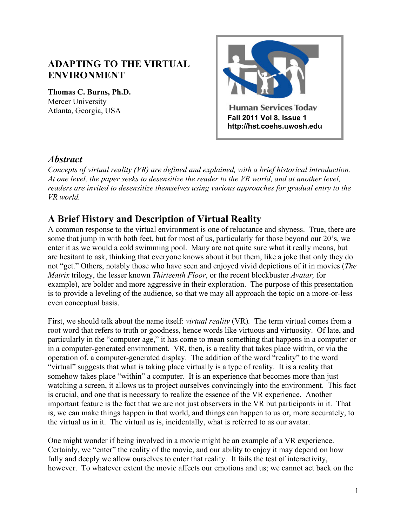# **ADAPTING TO THE VIRTUAL ENVIRONMENT**

**Thomas C. Burns, Ph.D.** Mercer University Atlanta, Georgia, USA



#### *Abstract*

*Concepts of virtual reality (VR) are defined and explained, with a brief historical introduction. At one level, the paper seeks to desensitize the reader to the VR world, and at another level, readers are invited to desensitize themselves using various approaches for gradual entry to the VR world.* 

## **A Brief History and Description of Virtual Reality**

A common response to the virtual environment is one of reluctance and shyness. True, there are some that jump in with both feet, but for most of us, particularly for those beyond our 20's, we enter it as we would a cold swimming pool. Many are not quite sure what it really means, but are hesitant to ask, thinking that everyone knows about it but them, like a joke that only they do not "get." Others, notably those who have seen and enjoyed vivid depictions of it in movies (*The Matrix* trilogy, the lesser known *Thirteenth Floor*, or the recent blockbuster *Avatar,* for example), are bolder and more aggressive in their exploration. The purpose of this presentation is to provide a leveling of the audience, so that we may all approach the topic on a more-or-less even conceptual basis.

First, we should talk about the name itself: *virtual reality* (VR)*.* The term virtual comes from a root word that refers to truth or goodness, hence words like virtuous and virtuosity. Of late, and particularly in the "computer age," it has come to mean something that happens in a computer or in a computer-generated environment. VR, then, is a reality that takes place within, or via the operation of, a computer-generated display. The addition of the word "reality" to the word "virtual" suggests that what is taking place virtually is a type of reality. It is a reality that somehow takes place "within" a computer. It is an experience that becomes more than just watching a screen, it allows us to project ourselves convincingly into the environment. This fact is crucial, and one that is necessary to realize the essence of the VR experience. Another important feature is the fact that we are not just observers in the VR but participants in it. That is, we can make things happen in that world, and things can happen to us or, more accurately, to the virtual us in it. The virtual us is, incidentally, what is referred to as our avatar.

One might wonder if being involved in a movie might be an example of a VR experience. Certainly, we "enter" the reality of the movie, and our ability to enjoy it may depend on how fully and deeply we allow ourselves to enter that reality. It fails the test of interactivity, however. To whatever extent the movie affects our emotions and us; we cannot act back on the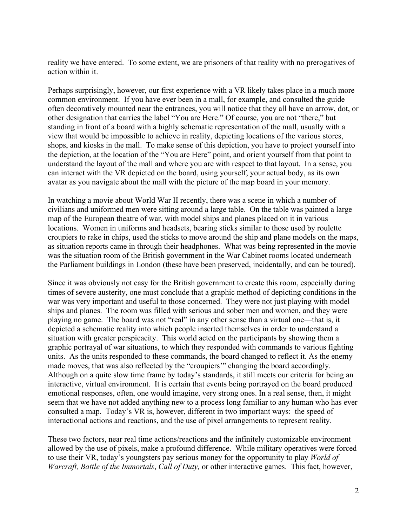reality we have entered. To some extent, we are prisoners of that reality with no prerogatives of action within it.

Perhaps surprisingly, however, our first experience with a VR likely takes place in a much more common environment. If you have ever been in a mall, for example, and consulted the guide often decoratively mounted near the entrances, you will notice that they all have an arrow, dot, or other designation that carries the label "You are Here." Of course, you are not "there," but standing in front of a board with a highly schematic representation of the mall, usually with a view that would be impossible to achieve in reality, depicting locations of the various stores, shops, and kiosks in the mall. To make sense of this depiction, you have to project yourself into the depiction, at the location of the "You are Here" point, and orient yourself from that point to understand the layout of the mall and where you are with respect to that layout. In a sense, you can interact with the VR depicted on the board, using yourself, your actual body, as its own avatar as you navigate about the mall with the picture of the map board in your memory.

In watching a movie about World War II recently, there was a scene in which a number of civilians and uniformed men were sitting around a large table. On the table was painted a large map of the European theatre of war, with model ships and planes placed on it in various locations. Women in uniforms and headsets, bearing sticks similar to those used by roulette croupiers to rake in chips, used the sticks to move around the ship and plane models on the maps, as situation reports came in through their headphones. What was being represented in the movie was the situation room of the British government in the War Cabinet rooms located underneath the Parliament buildings in London (these have been preserved, incidentally, and can be toured).

Since it was obviously not easy for the British government to create this room, especially during times of severe austerity, one must conclude that a graphic method of depicting conditions in the war was very important and useful to those concerned. They were not just playing with model ships and planes. The room was filled with serious and sober men and women, and they were playing no game. The board was not "real" in any other sense than a virtual one—that is, it depicted a schematic reality into which people inserted themselves in order to understand a situation with greater perspicacity. This world acted on the participants by showing them a graphic portrayal of war situations, to which they responded with commands to various fighting units. As the units responded to these commands, the board changed to reflect it. As the enemy made moves, that was also reflected by the "croupiers'" changing the board accordingly. Although on a quite slow time frame by today's standards, it still meets our criteria for being an interactive, virtual environment. It is certain that events being portrayed on the board produced emotional responses, often, one would imagine, very strong ones. In a real sense, then, it might seem that we have not added anything new to a process long familiar to any human who has ever consulted a map. Today's VR is, however, different in two important ways: the speed of interactional actions and reactions, and the use of pixel arrangements to represent reality.

These two factors, near real time actions/reactions and the infinitely customizable environment allowed by the use of pixels, make a profound difference. While military operatives were forced to use their VR, today's youngsters pay serious money for the opportunity to play *World of Warcraft, Battle of the Immortals*, *Call of Duty,* or other interactive games. This fact, however,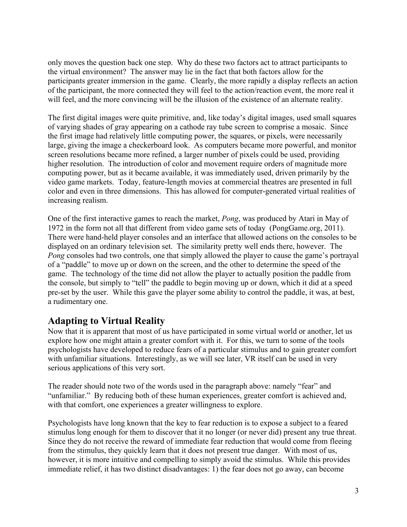only moves the question back one step. Why do these two factors act to attract participants to the virtual environment? The answer may lie in the fact that both factors allow for the participants greater immersion in the game. Clearly, the more rapidly a display reflects an action of the participant, the more connected they will feel to the action/reaction event, the more real it will feel, and the more convincing will be the illusion of the existence of an alternate reality.

The first digital images were quite primitive, and, like today's digital images, used small squares of varying shades of gray appearing on a cathode ray tube screen to comprise a mosaic. Since the first image had relatively little computing power, the squares, or pixels, were necessarily large, giving the image a checkerboard look. As computers became more powerful, and monitor screen resolutions became more refined, a larger number of pixels could be used, providing higher resolution. The introduction of color and movement require orders of magnitude more computing power, but as it became available, it was immediately used, driven primarily by the video game markets. Today, feature-length movies at commercial theatres are presented in full color and even in three dimensions. This has allowed for computer-generated virtual realities of increasing realism.

One of the first interactive games to reach the market, *Pong*, was produced by Atari in May of 1972 in the form not all that different from video game sets of today (PongGame.org, 2011). There were hand-held player consoles and an interface that allowed actions on the consoles to be displayed on an ordinary television set. The similarity pretty well ends there, however. The *Pong* consoles had two controls, one that simply allowed the player to cause the game's portrayal of a "paddle" to move up or down on the screen, and the other to determine the speed of the game. The technology of the time did not allow the player to actually position the paddle from the console, but simply to "tell" the paddle to begin moving up or down, which it did at a speed pre-set by the user. While this gave the player some ability to control the paddle, it was, at best, a rudimentary one.

### **Adapting to Virtual Reality**

Now that it is apparent that most of us have participated in some virtual world or another, let us explore how one might attain a greater comfort with it. For this, we turn to some of the tools psychologists have developed to reduce fears of a particular stimulus and to gain greater comfort with unfamiliar situations. Interestingly, as we will see later, VR itself can be used in very serious applications of this very sort.

The reader should note two of the words used in the paragraph above: namely "fear" and "unfamiliar." By reducing both of these human experiences, greater comfort is achieved and, with that comfort, one experiences a greater willingness to explore.

Psychologists have long known that the key to fear reduction is to expose a subject to a feared stimulus long enough for them to discover that it no longer (or never did) present any true threat. Since they do not receive the reward of immediate fear reduction that would come from fleeing from the stimulus, they quickly learn that it does not present true danger. With most of us, however, it is more intuitive and compelling to simply avoid the stimulus. While this provides immediate relief, it has two distinct disadvantages: 1) the fear does not go away, can become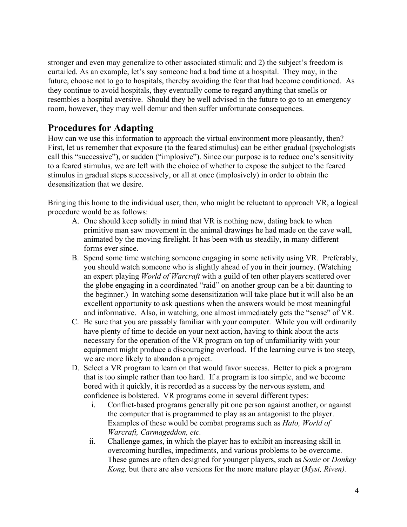stronger and even may generalize to other associated stimuli; and 2) the subject's freedom is curtailed. As an example, let's say someone had a bad time at a hospital. They may, in the future, choose not to go to hospitals, thereby avoiding the fear that had become conditioned. As they continue to avoid hospitals, they eventually come to regard anything that smells or resembles a hospital aversive. Should they be well advised in the future to go to an emergency room, however, they may well demur and then suffer unfortunate consequences.

## **Procedures for Adapting**

How can we use this information to approach the virtual environment more pleasantly, then? First, let us remember that exposure (to the feared stimulus) can be either gradual (psychologists call this "successive"), or sudden ("implosive"). Since our purpose is to reduce one's sensitivity to a feared stimulus, we are left with the choice of whether to expose the subject to the feared stimulus in gradual steps successively, or all at once (implosively) in order to obtain the desensitization that we desire.

Bringing this home to the individual user, then, who might be reluctant to approach VR, a logical procedure would be as follows:

- A. One should keep solidly in mind that VR is nothing new, dating back to when primitive man saw movement in the animal drawings he had made on the cave wall, animated by the moving firelight. It has been with us steadily, in many different forms ever since.
- B. Spend some time watching someone engaging in some activity using VR. Preferably, you should watch someone who is slightly ahead of you in their journey. (Watching an expert playing *World of Warcraft* with a guild of ten other players scattered over the globe engaging in a coordinated "raid" on another group can be a bit daunting to the beginner.) In watching some desensitization will take place but it will also be an excellent opportunity to ask questions when the answers would be most meaningful and informative. Also, in watching, one almost immediately gets the "sense" of VR.
- C. Be sure that you are passably familiar with your computer. While you will ordinarily have plenty of time to decide on your next action, having to think about the acts necessary for the operation of the VR program on top of unfamiliarity with your equipment might produce a discouraging overload. If the learning curve is too steep, we are more likely to abandon a project.
- D. Select a VR program to learn on that would favor success. Better to pick a program that is too simple rather than too hard. If a program is too simple, and we become bored with it quickly, it is recorded as a success by the nervous system, and confidence is bolstered. VR programs come in several different types:
	- i. Conflict-based programs generally pit one person against another, or against the computer that is programmed to play as an antagonist to the player. Examples of these would be combat programs such as *Halo, World of Warcraft, Carmageddon, etc.*
	- ii. Challenge games, in which the player has to exhibit an increasing skill in overcoming hurdles, impediments, and various problems to be overcome. These games are often designed for younger players, such as *Sonic* or *Donkey Kong,* but there are also versions for the more mature player (*Myst, Riven).*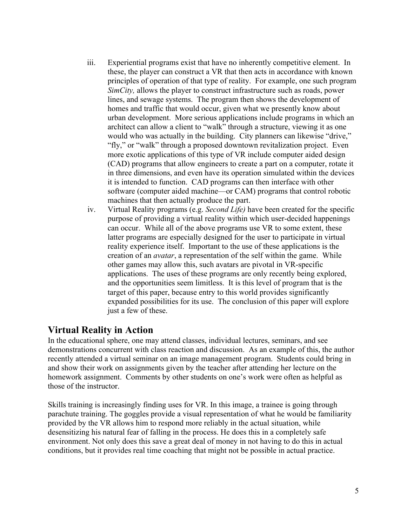- iii. Experiential programs exist that have no inherently competitive element. In these, the player can construct a VR that then acts in accordance with known principles of operation of that type of reality. For example, one such program *SimCity,* allows the player to construct infrastructure such as roads, power lines, and sewage systems. The program then shows the development of homes and traffic that would occur, given what we presently know about urban development. More serious applications include programs in which an architect can allow a client to "walk" through a structure, viewing it as one would who was actually in the building. City planners can likewise "drive," "fly," or "walk" through a proposed downtown revitalization project. Even more exotic applications of this type of VR include computer aided design (CAD) programs that allow engineers to create a part on a computer, rotate it in three dimensions, and even have its operation simulated within the devices it is intended to function. CAD programs can then interface with other software (computer aided machine—or CAM) programs that control robotic machines that then actually produce the part.
- iv. Virtual Reality programs (e.g. *Second Life)* have been created for the specific purpose of providing a virtual reality within which user-decided happenings can occur. While all of the above programs use VR to some extent, these latter programs are especially designed for the user to participate in virtual reality experience itself. Important to the use of these applications is the creation of an *avatar*, a representation of the self within the game. While other games may allow this, such avatars are pivotal in VR-specific applications. The uses of these programs are only recently being explored, and the opportunities seem limitless. It is this level of program that is the target of this paper, because entry to this world provides significantly expanded possibilities for its use. The conclusion of this paper will explore just a few of these.

### **Virtual Reality in Action**

In the educational sphere, one may attend classes, individual lectures, seminars, and see demonstrations concurrent with class reaction and discussion. As an example of this, the author recently attended a virtual seminar on an image management program. Students could bring in and show their work on assignments given by the teacher after attending her lecture on the homework assignment. Comments by other students on one's work were often as helpful as those of the instructor.

Skills training is increasingly finding uses for VR. In this image, a trainee is going through parachute training. The goggles provide a visual representation of what he would be familiarity provided by the VR allows him to respond more reliably in the actual situation, while desensitizing his natural fear of falling in the process. He does this in a completely safe environment. Not only does this save a great deal of money in not having to do this in actual conditions, but it provides real time coaching that might not be possible in actual practice.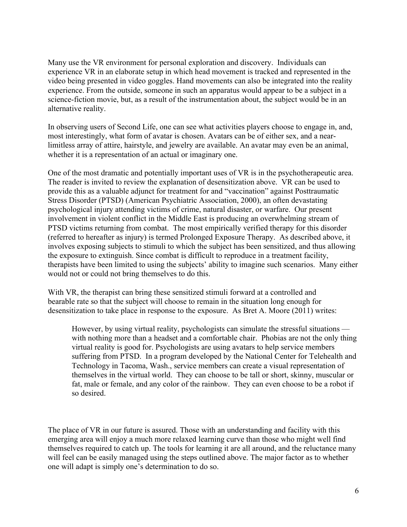Many use the VR environment for personal exploration and discovery. Individuals can experience VR in an elaborate setup in which head movement is tracked and represented in the video being presented in video goggles. Hand movements can also be integrated into the reality experience. From the outside, someone in such an apparatus would appear to be a subject in a science-fiction movie, but, as a result of the instrumentation about, the subject would be in an alternative reality.

In observing users of Second Life, one can see what activities players choose to engage in, and, most interestingly, what form of avatar is chosen. Avatars can be of either sex, and a nearlimitless array of attire, hairstyle, and jewelry are available. An avatar may even be an animal, whether it is a representation of an actual or imaginary one.

One of the most dramatic and potentially important uses of VR is in the psychotherapeutic area. The reader is invited to review the explanation of desensitization above. VR can be used to provide this as a valuable adjunct for treatment for and "vaccination" against Posttraumatic Stress Disorder (PTSD) (American Psychiatric Association, 2000), an often devastating psychological injury attending victims of crime, natural disaster, or warfare. Our present involvement in violent conflict in the Middle East is producing an overwhelming stream of PTSD victims returning from combat. The most empirically verified therapy for this disorder (referred to hereafter as injury) is termed Prolonged Exposure Therapy. As described above, it involves exposing subjects to stimuli to which the subject has been sensitized, and thus allowing the exposure to extinguish. Since combat is difficult to reproduce in a treatment facility, therapists have been limited to using the subjects' ability to imagine such scenarios. Many either would not or could not bring themselves to do this.

With VR, the therapist can bring these sensitized stimuli forward at a controlled and bearable rate so that the subject will choose to remain in the situation long enough for desensitization to take place in response to the exposure. As Bret A. Moore (2011) writes:

However, by using virtual reality, psychologists can simulate the stressful situations with nothing more than a headset and a comfortable chair. Phobias are not the only thing virtual reality is good for. Psychologists are using avatars to help service members suffering from PTSD. In a program developed by the National Center for Telehealth and Technology in Tacoma, Wash., service members can create a visual representation of themselves in the virtual world. They can choose to be tall or short, skinny, muscular or fat, male or female, and any color of the rainbow. They can even choose to be a robot if so desired.

The place of VR in our future is assured. Those with an understanding and facility with this emerging area will enjoy a much more relaxed learning curve than those who might well find themselves required to catch up. The tools for learning it are all around, and the reluctance many will feel can be easily managed using the steps outlined above. The major factor as to whether one will adapt is simply one's determination to do so.